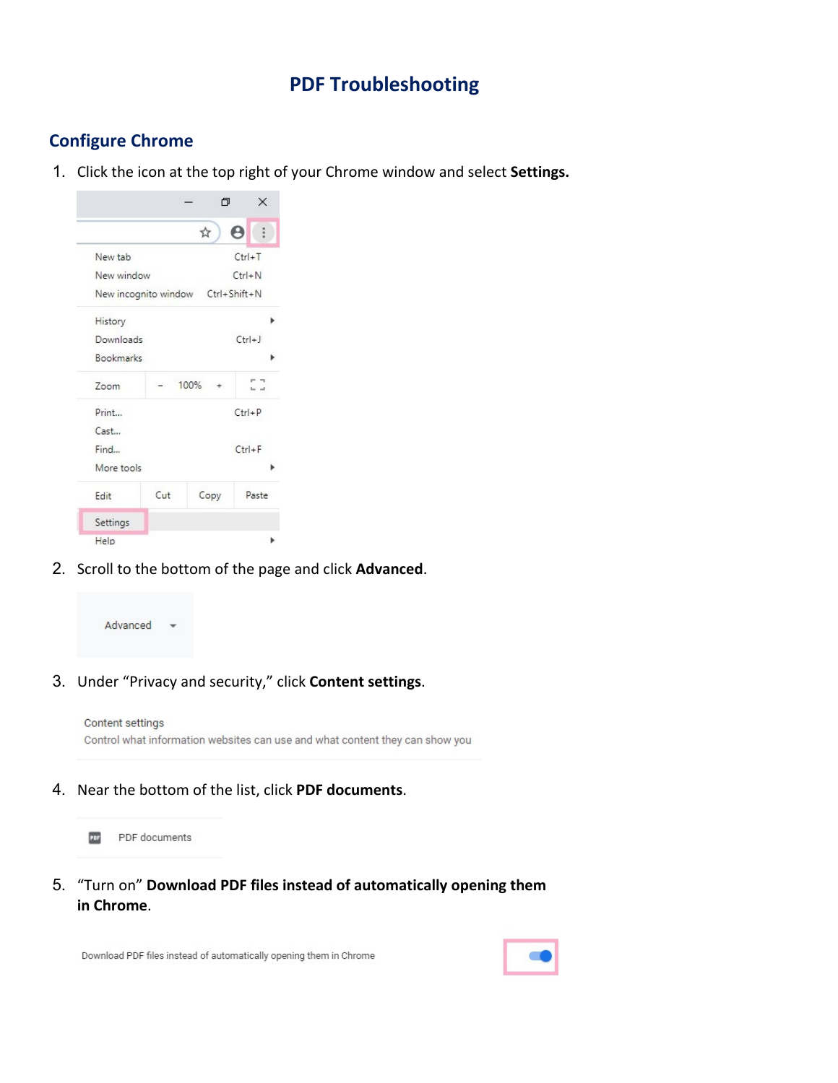# **PDF Troubleshooting**

## **Configure Chrome**

1. Click the icon at the top right of your Chrome window and select **Settings.**



2. Scroll to the bottom of the page and click **Advanced**.



3. Under "Privacy and security," click **Content settings**.

| Content settings                                                             |
|------------------------------------------------------------------------------|
| Control what information websites can use and what content they can show you |

4. Near the bottom of the list, click **PDF documents**.

PDF PDF documents

5. "Turn on" **Download PDF files instead of automatically opening them in Chrome**.

Download PDF files instead of automatically opening them in Chrome

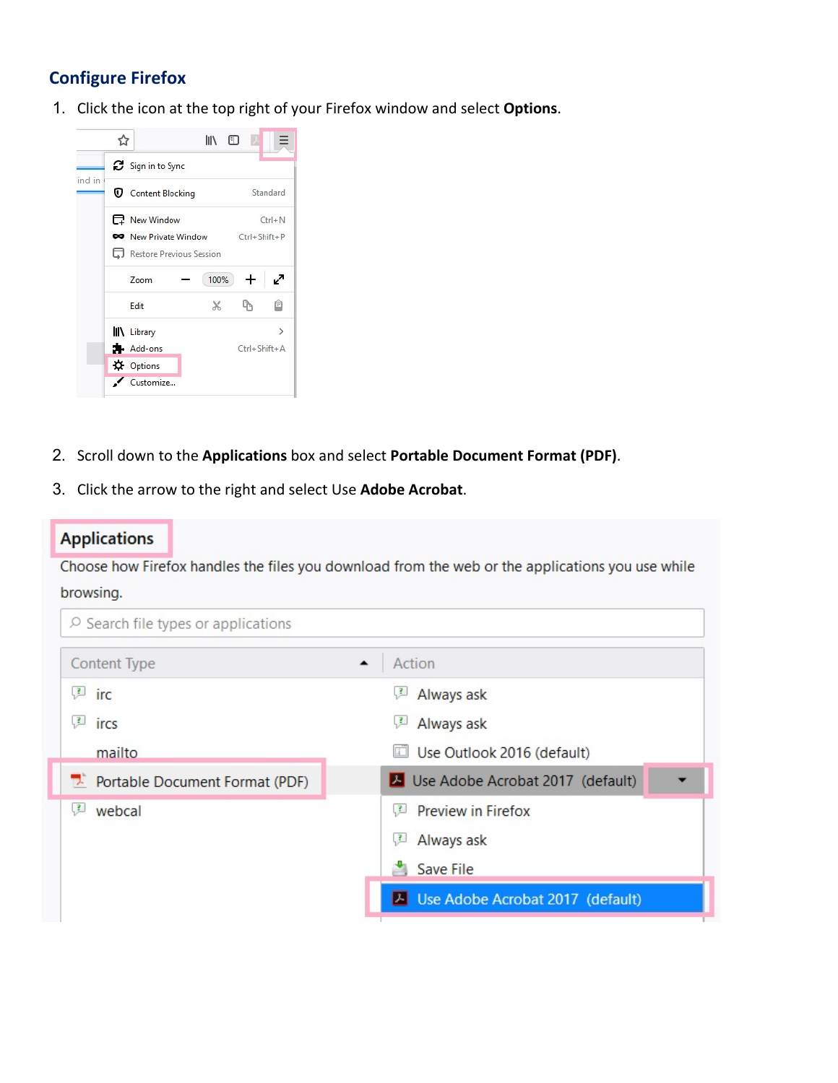### **Configure Firefox**

1. Click the icon at the top right of your Firefox window and select **Options**.



- 2. Scroll down to the **Applications** box and select **Portable Document Format (PDF)**.
- 3. Click the arrow to the right and select Use **Adobe Acrobat**.

#### **Applications**

Choose how Firefox handles the files you download from the web or the applications you use while